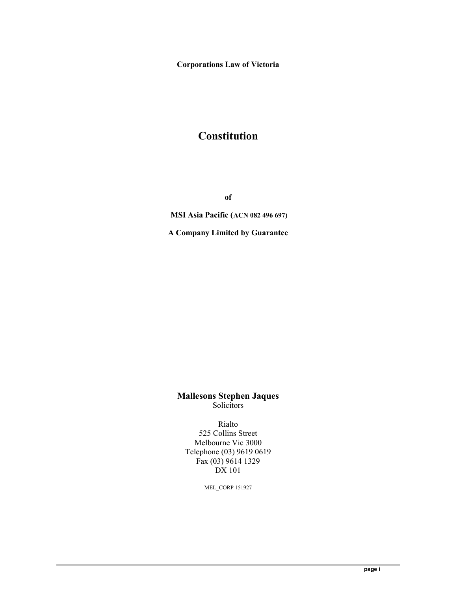Corporations Law of Victoria

## **Constitution**

of

MSI Asia Pacific (ACN 082 496 697)

A Company Limited by Guarantee

Mallesons Stephen Jaques Solicitors

Rialto 525 Collins Street Melbourne Vic 3000 Telephone (03) 9619 0619 Fax (03) 9614 1329 DX 101

MEL\_CORP 151927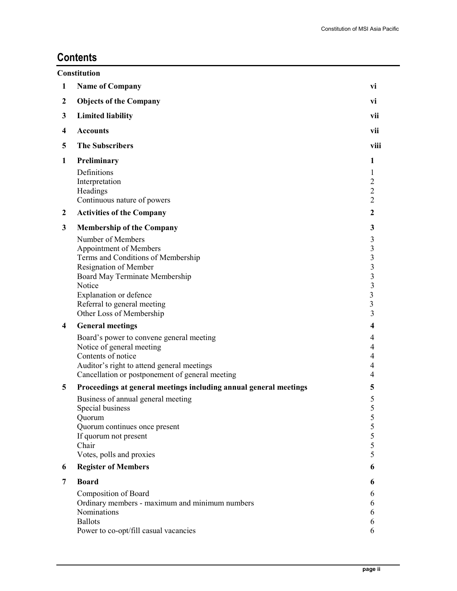## **Contents**

|   | <b>Constitution</b>                                               |                                                    |
|---|-------------------------------------------------------------------|----------------------------------------------------|
| 1 | <b>Name of Company</b>                                            | vi                                                 |
| 2 | <b>Objects of the Company</b>                                     | vi                                                 |
| 3 | <b>Limited liability</b>                                          | vii                                                |
| 4 | <b>Accounts</b>                                                   | vii                                                |
| 5 | <b>The Subscribers</b>                                            | viii                                               |
| 1 | Preliminary                                                       | 1                                                  |
|   | Definitions                                                       | 1                                                  |
|   | Interpretation<br>Headings                                        | $\mathfrak{2}$<br>$\overline{2}$                   |
|   | Continuous nature of powers                                       | $\overline{2}$                                     |
| 2 | <b>Activities of the Company</b>                                  | $\overline{2}$                                     |
| 3 | <b>Membership of the Company</b>                                  | 3                                                  |
|   | Number of Members                                                 | 3                                                  |
|   | Appointment of Members                                            | $\overline{\mathbf{3}}$                            |
|   | Terms and Conditions of Membership                                | $\overline{\mathbf{3}}$<br>$\overline{\mathbf{3}}$ |
|   | Resignation of Member<br>Board May Terminate Membership           | $\overline{\mathbf{3}}$                            |
|   | Notice                                                            | $\overline{\mathbf{3}}$                            |
|   | Explanation or defence                                            | $\overline{\mathbf{3}}$                            |
|   | Referral to general meeting                                       | $\overline{3}$                                     |
|   | Other Loss of Membership                                          | 3                                                  |
| 4 | <b>General meetings</b>                                           | $\overline{\mathbf{4}}$                            |
|   | Board's power to convene general meeting                          | 4                                                  |
|   | Notice of general meeting<br>Contents of notice                   | 4<br>$\overline{4}$                                |
|   | Auditor's right to attend general meetings                        | 4                                                  |
|   | Cancellation or postponement of general meeting                   | 4                                                  |
| 5 | Proceedings at general meetings including annual general meetings | 5                                                  |
|   | Business of annual general meeting                                | 5                                                  |
|   | Special business                                                  | 5                                                  |
|   | Quorum<br>Quorum continues once present                           | 5<br>5                                             |
|   | If quorum not present                                             | 5                                                  |
|   | Chair                                                             | 5                                                  |
|   | Votes, polls and proxies                                          | 5                                                  |
| 6 | <b>Register of Members</b>                                        | 6                                                  |
| 7 | <b>Board</b>                                                      | 6                                                  |
|   | Composition of Board                                              | 6                                                  |
|   | Ordinary members - maximum and minimum numbers<br>Nominations     | 6<br>6                                             |
|   | <b>Ballots</b>                                                    | 6                                                  |
|   | Power to co-opt/fill casual vacancies                             | 6                                                  |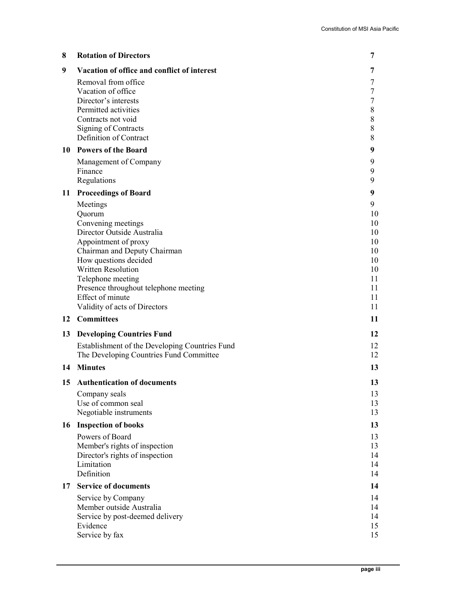| 8  | <b>Rotation of Directors</b>                                                                                                                                                                                                                                                                     | 7                                                                   |
|----|--------------------------------------------------------------------------------------------------------------------------------------------------------------------------------------------------------------------------------------------------------------------------------------------------|---------------------------------------------------------------------|
| 9  | Vacation of office and conflict of interest                                                                                                                                                                                                                                                      | 7                                                                   |
|    | Removal from office<br>Vacation of office<br>Director's interests<br>Permitted activities<br>Contracts not void<br>Signing of Contracts<br>Definition of Contract                                                                                                                                | 7<br>7<br>7<br>8<br>8<br>8<br>8                                     |
|    | 10 Powers of the Board                                                                                                                                                                                                                                                                           | 9                                                                   |
|    | Management of Company<br>Finance<br>Regulations                                                                                                                                                                                                                                                  | 9<br>9<br>9                                                         |
| 11 | <b>Proceedings of Board</b>                                                                                                                                                                                                                                                                      | 9                                                                   |
|    | Meetings<br>Quorum<br>Convening meetings<br>Director Outside Australia<br>Appointment of proxy<br>Chairman and Deputy Chairman<br>How questions decided<br>Written Resolution<br>Telephone meeting<br>Presence throughout telephone meeting<br>Effect of minute<br>Validity of acts of Directors | 9<br>10<br>10<br>10<br>10<br>10<br>10<br>10<br>11<br>11<br>11<br>11 |
|    | 12 Committees                                                                                                                                                                                                                                                                                    | 11                                                                  |
| 13 | <b>Developing Countries Fund</b>                                                                                                                                                                                                                                                                 | 12                                                                  |
|    | Establishment of the Developing Countries Fund                                                                                                                                                                                                                                                   | 12                                                                  |
| 14 | The Developing Countries Fund Committee<br><b>Minutes</b>                                                                                                                                                                                                                                        | 12<br>13                                                            |
|    |                                                                                                                                                                                                                                                                                                  |                                                                     |
| 15 | <b>Authentication of documents</b><br>Company seals<br>Use of common seal<br>Negotiable instruments                                                                                                                                                                                              | 13<br>13<br>13<br>13                                                |
| 16 | <b>Inspection of books</b>                                                                                                                                                                                                                                                                       | 13                                                                  |
|    | Powers of Board<br>Member's rights of inspection<br>Director's rights of inspection<br>Limitation<br>Definition                                                                                                                                                                                  | 13<br>13<br>14<br>14<br>14                                          |
| 17 | <b>Service of documents</b>                                                                                                                                                                                                                                                                      | 14                                                                  |
|    | Service by Company<br>Member outside Australia<br>Service by post-deemed delivery<br>Evidence<br>Service by fax                                                                                                                                                                                  | 14<br>14<br>14<br>15<br>15                                          |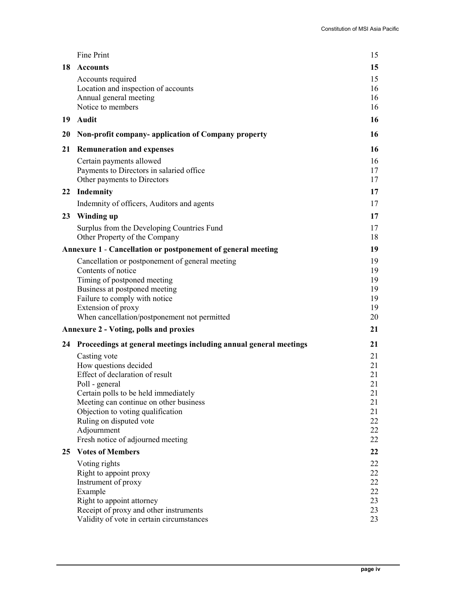|    | Fine Print                                                                                                                                                                                                                                                                                       | 15                                                       |
|----|--------------------------------------------------------------------------------------------------------------------------------------------------------------------------------------------------------------------------------------------------------------------------------------------------|----------------------------------------------------------|
| 18 | <b>Accounts</b>                                                                                                                                                                                                                                                                                  | 15                                                       |
|    | Accounts required<br>Location and inspection of accounts<br>Annual general meeting<br>Notice to members                                                                                                                                                                                          | 15<br>16<br>16<br>16                                     |
| 19 | Audit                                                                                                                                                                                                                                                                                            | 16                                                       |
| 20 | Non-profit company-application of Company property                                                                                                                                                                                                                                               | 16                                                       |
| 21 | <b>Remuneration and expenses</b>                                                                                                                                                                                                                                                                 | 16                                                       |
|    | Certain payments allowed<br>Payments to Directors in salaried office<br>Other payments to Directors                                                                                                                                                                                              | 16<br>17<br>17                                           |
| 22 | <b>Indemnity</b>                                                                                                                                                                                                                                                                                 | 17                                                       |
|    | Indemnity of officers, Auditors and agents                                                                                                                                                                                                                                                       | 17                                                       |
| 23 | Winding up                                                                                                                                                                                                                                                                                       | 17                                                       |
|    | Surplus from the Developing Countries Fund<br>Other Property of the Company                                                                                                                                                                                                                      | 17<br>18                                                 |
|    | Annexure 1 - Cancellation or postponement of general meeting                                                                                                                                                                                                                                     | 19                                                       |
|    | Cancellation or postponement of general meeting<br>Contents of notice<br>Timing of postponed meeting<br>Business at postponed meeting<br>Failure to comply with notice<br>Extension of proxy<br>When cancellation/postponement not permitted                                                     | 19<br>19<br>19<br>19<br>19<br>19<br>20                   |
|    | <b>Annexure 2 - Voting, polls and proxies</b>                                                                                                                                                                                                                                                    | 21                                                       |
|    | 24 Proceedings at general meetings including annual general meetings                                                                                                                                                                                                                             | 21                                                       |
|    | Casting vote<br>How questions decided<br>Effect of declaration of result<br>Poll - general<br>Certain polls to be held immediately<br>Meeting can continue on other business<br>Objection to voting qualification<br>Ruling on disputed vote<br>Adjournment<br>Fresh notice of adjourned meeting | 21<br>21<br>21<br>21<br>21<br>21<br>21<br>22<br>22<br>22 |
| 25 | <b>Votes of Members</b>                                                                                                                                                                                                                                                                          | 22                                                       |
|    | Voting rights<br>Right to appoint proxy<br>Instrument of proxy<br>Example<br>Right to appoint attorney<br>Receipt of proxy and other instruments<br>Validity of vote in certain circumstances                                                                                                    | 22<br>22<br>22<br>22<br>23<br>23<br>23                   |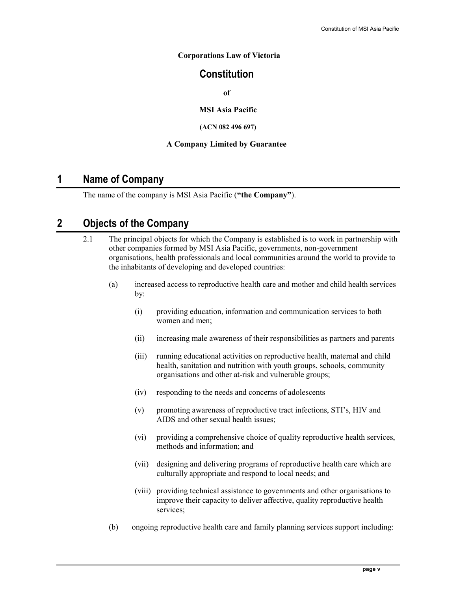### Corporations Law of Victoria

## **Constitution**

of

MSI Asia Pacific

### (ACN 082 496 697)

### A Company Limited by Guarantee

## 1 Name of Company

The name of the company is MSI Asia Pacific ("the Company").

## 2 Objects of the Company

- 2.1 The principal objects for which the Company is established is to work in partnership with other companies formed by MSI Asia Pacific, governments, non-government organisations, health professionals and local communities around the world to provide to the inhabitants of developing and developed countries:
	- (a) increased access to reproductive health care and mother and child health services by:
		- (i) providing education, information and communication services to both women and men;
		- (ii) increasing male awareness of their responsibilities as partners and parents
		- (iii) running educational activities on reproductive health, maternal and child health, sanitation and nutrition with youth groups, schools, community organisations and other at-risk and vulnerable groups;
		- (iv) responding to the needs and concerns of adolescents
		- (v) promoting awareness of reproductive tract infections, STI's, HIV and AIDS and other sexual health issues;
		- (vi) providing a comprehensive choice of quality reproductive health services, methods and information; and
		- (vii) designing and delivering programs of reproductive health care which are culturally appropriate and respond to local needs; and
		- (viii) providing technical assistance to governments and other organisations to improve their capacity to deliver affective, quality reproductive health services;
	- (b) ongoing reproductive health care and family planning services support including: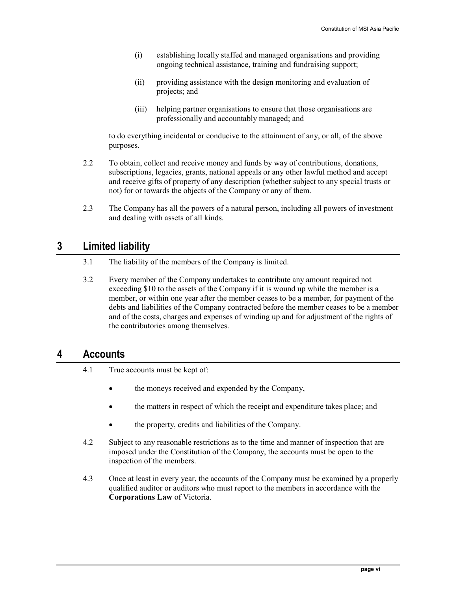- (i) establishing locally staffed and managed organisations and providing ongoing technical assistance, training and fundraising support;
- (ii) providing assistance with the design monitoring and evaluation of projects; and
- (iii) helping partner organisations to ensure that those organisations are professionally and accountably managed; and

to do everything incidental or conducive to the attainment of any, or all, of the above purposes.

- 2.2 To obtain, collect and receive money and funds by way of contributions, donations, subscriptions, legacies, grants, national appeals or any other lawful method and accept and receive gifts of property of any description (whether subject to any special trusts or not) for or towards the objects of the Company or any of them.
- 2.3 The Company has all the powers of a natural person, including all powers of investment and dealing with assets of all kinds.

## 3 Limited liability

- 3.1 The liability of the members of the Company is limited.
- 3.2 Every member of the Company undertakes to contribute any amount required not exceeding \$10 to the assets of the Company if it is wound up while the member is a member, or within one year after the member ceases to be a member, for payment of the debts and liabilities of the Company contracted before the member ceases to be a member and of the costs, charges and expenses of winding up and for adjustment of the rights of the contributories among themselves.

## 4 Accounts

- 4.1 True accounts must be kept of:
	- the moneys received and expended by the Company,
	- the matters in respect of which the receipt and expenditure takes place; and
	- the property, credits and liabilities of the Company.
- 4.2 Subject to any reasonable restrictions as to the time and manner of inspection that are imposed under the Constitution of the Company, the accounts must be open to the inspection of the members.
- 4.3 Once at least in every year, the accounts of the Company must be examined by a properly qualified auditor or auditors who must report to the members in accordance with the Corporations Law of Victoria.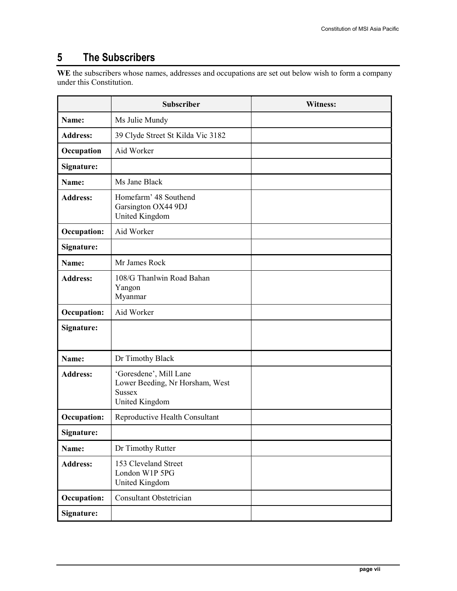## 5 The Subscribers

WE the subscribers whose names, addresses and occupations are set out below wish to form a company under this Constitution.

|                    | <b>Subscriber</b>                                                                            | <b>Witness:</b> |
|--------------------|----------------------------------------------------------------------------------------------|-----------------|
| Name:              | Ms Julie Mundy                                                                               |                 |
| <b>Address:</b>    | 39 Clyde Street St Kilda Vic 3182                                                            |                 |
| Occupation         | Aid Worker                                                                                   |                 |
| Signature:         |                                                                                              |                 |
| Name:              | Ms Jane Black                                                                                |                 |
| <b>Address:</b>    | Homefarm' 48 Southend<br>Garsington OX44 9DJ<br>United Kingdom                               |                 |
| <b>Occupation:</b> | Aid Worker                                                                                   |                 |
| Signature:         |                                                                                              |                 |
| Name:              | Mr James Rock                                                                                |                 |
| <b>Address:</b>    | 108/G Thanlwin Road Bahan<br>Yangon<br>Myanmar                                               |                 |
| <b>Occupation:</b> | Aid Worker                                                                                   |                 |
| Signature:         |                                                                                              |                 |
| Name:              | Dr Timothy Black                                                                             |                 |
| <b>Address:</b>    | 'Goresdene', Mill Lane<br>Lower Beeding, Nr Horsham, West<br><b>Sussex</b><br>United Kingdom |                 |
| <b>Occupation:</b> | Reproductive Health Consultant                                                               |                 |
| Signature:         |                                                                                              |                 |
| Name:              | Dr Timothy Rutter                                                                            |                 |
| <b>Address:</b>    | 153 Cleveland Street<br>London W1P 5PG<br>United Kingdom                                     |                 |
| <b>Occupation:</b> | Consultant Obstetrician                                                                      |                 |
| Signature:         |                                                                                              |                 |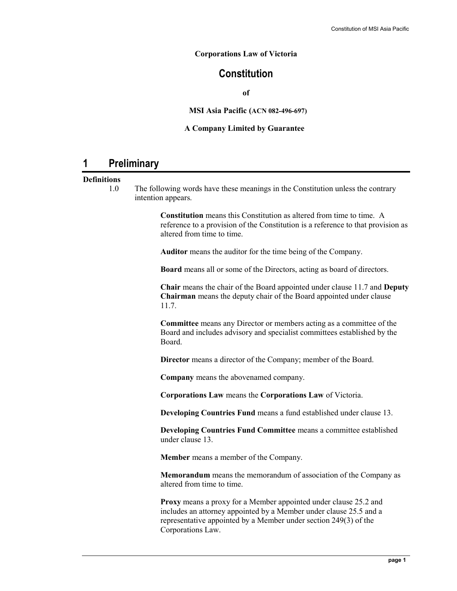### Corporations Law of Victoria

## **Constitution**

of

### MSI Asia Pacific (ACN 082-496-697)

### A Company Limited by Guarantee

## 1 Preliminary

### **Definitions**

1.0 The following words have these meanings in the Constitution unless the contrary intention appears.

> Constitution means this Constitution as altered from time to time. A reference to a provision of the Constitution is a reference to that provision as altered from time to time.

Auditor means the auditor for the time being of the Company.

Board means all or some of the Directors, acting as board of directors.

Chair means the chair of the Board appointed under clause 11.7 and Deputy Chairman means the deputy chair of the Board appointed under clause 11.7.

Committee means any Director or members acting as a committee of the Board and includes advisory and specialist committees established by the Board.

Director means a director of the Company; member of the Board.

Company means the abovenamed company.

Corporations Law means the Corporations Law of Victoria.

Developing Countries Fund means a fund established under clause 13.

Developing Countries Fund Committee means a committee established under clause 13.

Member means a member of the Company.

Memorandum means the memorandum of association of the Company as altered from time to time.

Proxy means a proxy for a Member appointed under clause 25.2 and includes an attorney appointed by a Member under clause 25.5 and a representative appointed by a Member under section 249(3) of the Corporations Law.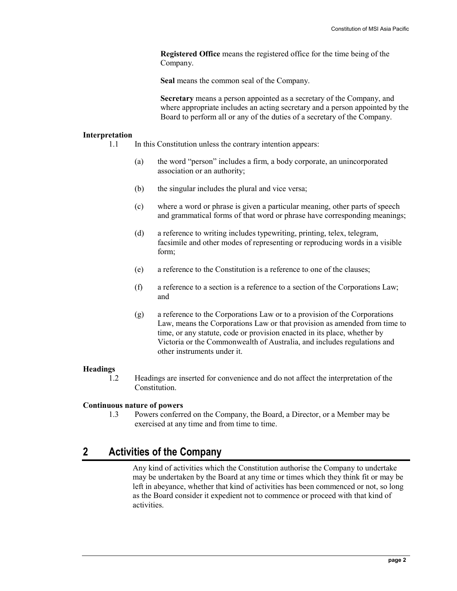Registered Office means the registered office for the time being of the Company.

Seal means the common seal of the Company.

Secretary means a person appointed as a secretary of the Company, and where appropriate includes an acting secretary and a person appointed by the Board to perform all or any of the duties of a secretary of the Company.

#### Interpretation

- 1.1 In this Constitution unless the contrary intention appears:
	- (a) the word "person" includes a firm, a body corporate, an unincorporated association or an authority;
	- (b) the singular includes the plural and vice versa;
	- (c) where a word or phrase is given a particular meaning, other parts of speech and grammatical forms of that word or phrase have corresponding meanings;
	- (d) a reference to writing includes typewriting, printing, telex, telegram, facsimile and other modes of representing or reproducing words in a visible form;
	- (e) a reference to the Constitution is a reference to one of the clauses;
	- (f) a reference to a section is a reference to a section of the Corporations Law; and
	- (g) a reference to the Corporations Law or to a provision of the Corporations Law, means the Corporations Law or that provision as amended from time to time, or any statute, code or provision enacted in its place, whether by Victoria or the Commonwealth of Australia, and includes regulations and other instruments under it.

#### Headings

1.2 Headings are inserted for convenience and do not affect the interpretation of the Constitution.

### Continuous nature of powers

1.3 Powers conferred on the Company, the Board, a Director, or a Member may be exercised at any time and from time to time.

## 2 Activities of the Company

Any kind of activities which the Constitution authorise the Company to undertake may be undertaken by the Board at any time or times which they think fit or may be left in abeyance, whether that kind of activities has been commenced or not, so long as the Board consider it expedient not to commence or proceed with that kind of activities.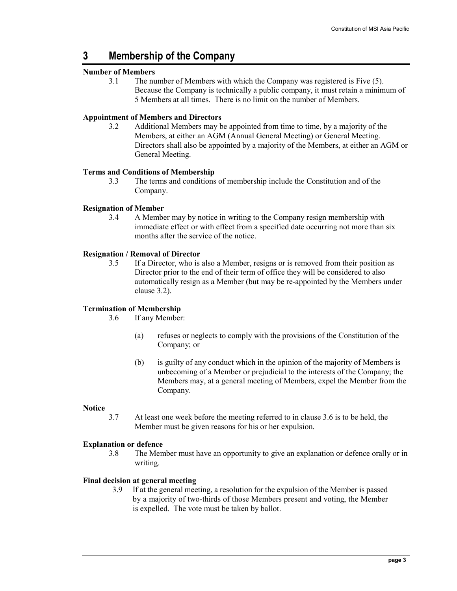## 3 Membership of the Company

### Number of Members

3.1 The number of Members with which the Company was registered is Five (5). Because the Company is technically a public company, it must retain a minimum of 5 Members at all times. There is no limit on the number of Members.

### Appointment of Members and Directors

3.2 Additional Members may be appointed from time to time, by a majority of the Members, at either an AGM (Annual General Meeting) or General Meeting. Directors shall also be appointed by a majority of the Members, at either an AGM or General Meeting.

### Terms and Conditions of Membership

3.3 The terms and conditions of membership include the Constitution and of the Company.

### Resignation of Member

3.4 A Member may by notice in writing to the Company resign membership with immediate effect or with effect from a specified date occurring not more than six months after the service of the notice.

### Resignation / Removal of Director

3.5 If a Director, who is also a Member, resigns or is removed from their position as Director prior to the end of their term of office they will be considered to also automatically resign as a Member (but may be re-appointed by the Members under clause 3.2).

### Termination of Membership

3.6 If any Member:

- (a) refuses or neglects to comply with the provisions of the Constitution of the Company; or
- (b) is guilty of any conduct which in the opinion of the majority of Members is unbecoming of a Member or prejudicial to the interests of the Company; the Members may, at a general meeting of Members, expel the Member from the Company.

### **Notice**

3.7 At least one week before the meeting referred to in clause 3.6 is to be held, the Member must be given reasons for his or her expulsion.

### Explanation or defence

3.8 The Member must have an opportunity to give an explanation or defence orally or in writing.

### Final decision at general meeting

3.9 If at the general meeting, a resolution for the expulsion of the Member is passed by a majority of two-thirds of those Members present and voting, the Member is expelled. The vote must be taken by ballot.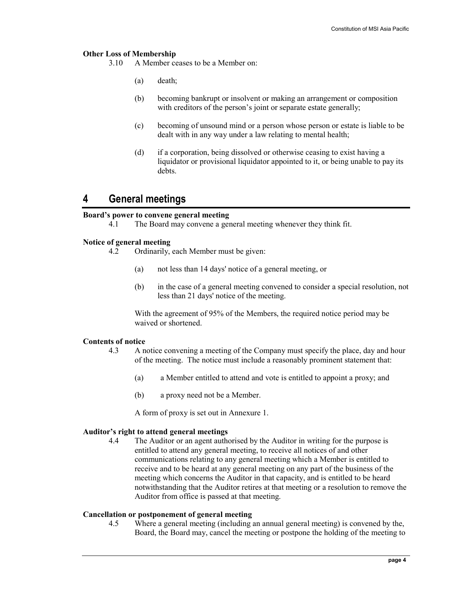### Other Loss of Membership

3.10 A Member ceases to be a Member on:

- (a) death;
- (b) becoming bankrupt or insolvent or making an arrangement or composition with creditors of the person's joint or separate estate generally;
- (c) becoming of unsound mind or a person whose person or estate is liable to be dealt with in any way under a law relating to mental health;
- (d) if a corporation, being dissolved or otherwise ceasing to exist having a liquidator or provisional liquidator appointed to it, or being unable to pay its debts.

### 4 General meetings

# **Board's power to convene general meeting**<br>4.1 The Board may convene a get

The Board may convene a general meeting whenever they think fit.

### Notice of general meeting

- 4.2 Ordinarily, each Member must be given:
	- (a) not less than 14 days' notice of a general meeting, or
	- (b) in the case of a general meeting convened to consider a special resolution, not less than 21 days' notice of the meeting.

With the agreement of 95% of the Members, the required notice period may be waived or shortened.

#### Contents of notice

- 4.3 A notice convening a meeting of the Company must specify the place, day and hour of the meeting. The notice must include a reasonably prominent statement that:
	- (a) a Member entitled to attend and vote is entitled to appoint a proxy; and
	- (b) a proxy need not be a Member.

A form of proxy is set out in Annexure 1.

#### Auditor's right to attend general meetings

4.4 The Auditor or an agent authorised by the Auditor in writing for the purpose is entitled to attend any general meeting, to receive all notices of and other communications relating to any general meeting which a Member is entitled to receive and to be heard at any general meeting on any part of the business of the meeting which concerns the Auditor in that capacity, and is entitled to be heard notwithstanding that the Auditor retires at that meeting or a resolution to remove the Auditor from office is passed at that meeting.

### Cancellation or postponement of general meeting

4.5 Where a general meeting (including an annual general meeting) is convened by the, Board, the Board may, cancel the meeting or postpone the holding of the meeting to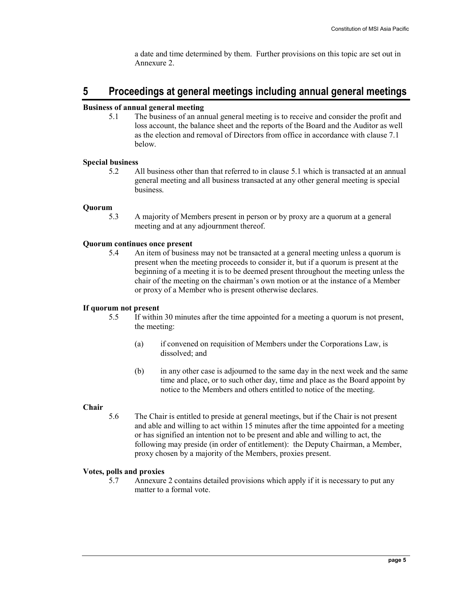a date and time determined by them. Further provisions on this topic are set out in Annexure 2.

## 5 Proceedings at general meetings including annual general meetings

### Business of annual general meeting

5.1 The business of an annual general meeting is to receive and consider the profit and loss account, the balance sheet and the reports of the Board and the Auditor as well as the election and removal of Directors from office in accordance with clause 7.1 below.

### Special business

5.2 All business other than that referred to in clause 5.1 which is transacted at an annual general meeting and all business transacted at any other general meeting is special business.

### Quorum

5.3 A majority of Members present in person or by proxy are a quorum at a general meeting and at any adjournment thereof.

### Quorum continues once present

5.4 An item of business may not be transacted at a general meeting unless a quorum is present when the meeting proceeds to consider it, but if a quorum is present at the beginning of a meeting it is to be deemed present throughout the meeting unless the chair of the meeting on the chairman's own motion or at the instance of a Member or proxy of a Member who is present otherwise declares.

### If quorum not present

- 5.5 If within 30 minutes after the time appointed for a meeting a quorum is not present, the meeting:
	- (a) if convened on requisition of Members under the Corporations Law, is dissolved; and
	- (b) in any other case is adjourned to the same day in the next week and the same time and place, or to such other day, time and place as the Board appoint by notice to the Members and others entitled to notice of the meeting.

### Chair

5.6 The Chair is entitled to preside at general meetings, but if the Chair is not present and able and willing to act within 15 minutes after the time appointed for a meeting or has signified an intention not to be present and able and willing to act, the following may preside (in order of entitlement): the Deputy Chairman, a Member, proxy chosen by a majority of the Members, proxies present.

### Votes, polls and proxies

5.7 Annexure 2 contains detailed provisions which apply if it is necessary to put any matter to a formal vote.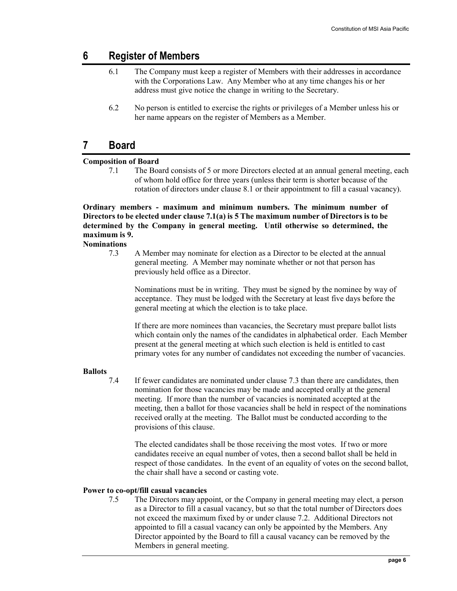## 6 Register of Members

- 6.1 The Company must keep a register of Members with their addresses in accordance with the Corporations Law. Any Member who at any time changes his or her address must give notice the change in writing to the Secretary.
- 6.2 No person is entitled to exercise the rights or privileges of a Member unless his or her name appears on the register of Members as a Member.

## 7 Board

### Composition of Board

7.1 The Board consists of 5 or more Directors elected at an annual general meeting, each of whom hold office for three years (unless their term is shorter because of the rotation of directors under clause 8.1 or their appointment to fill a casual vacancy).

### Ordinary members - maximum and minimum numbers. The minimum number of Directors to be elected under clause 7.1(a) is 5 The maximum number of Directors is to be determined by the Company in general meeting. Until otherwise so determined, the maximum is 9.

**Nominations** 

7.3 A Member may nominate for election as a Director to be elected at the annual general meeting. A Member may nominate whether or not that person has previously held office as a Director.

Nominations must be in writing. They must be signed by the nominee by way of acceptance. They must be lodged with the Secretary at least five days before the general meeting at which the election is to take place.

If there are more nominees than vacancies, the Secretary must prepare ballot lists which contain only the names of the candidates in alphabetical order. Each Member present at the general meeting at which such election is held is entitled to cast primary votes for any number of candidates not exceeding the number of vacancies.

### **Ballots**

7.4 If fewer candidates are nominated under clause 7.3 than there are candidates, then nomination for those vacancies may be made and accepted orally at the general meeting. If more than the number of vacancies is nominated accepted at the meeting, then a ballot for those vacancies shall be held in respect of the nominations received orally at the meeting. The Ballot must be conducted according to the provisions of this clause.

The elected candidates shall be those receiving the most votes. If two or more candidates receive an equal number of votes, then a second ballot shall be held in respect of those candidates. In the event of an equality of votes on the second ballot, the chair shall have a second or casting vote.

### Power to co-opt/fill casual vacancies

7.5 The Directors may appoint, or the Company in general meeting may elect, a person as a Director to fill a casual vacancy, but so that the total number of Directors does not exceed the maximum fixed by or under clause 7.2. Additional Directors not appointed to fill a casual vacancy can only be appointed by the Members. Any Director appointed by the Board to fill a causal vacancy can be removed by the Members in general meeting.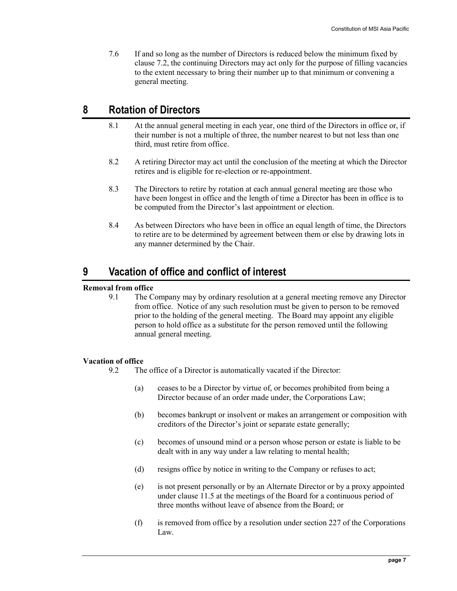7.6 If and so long as the number of Directors is reduced below the minimum fixed by clause 7.2, the continuing Directors may act only for the purpose of filling vacancies to the extent necessary to bring their number up to that minimum or convening a general meeting.

## 8 Rotation of Directors

- 8.1 At the annual general meeting in each year, one third of the Directors in office or, if their number is not a multiple of three, the number nearest to but not less than one third, must retire from office.
- 8.2 A retiring Director may act until the conclusion of the meeting at which the Director retires and is eligible for re-election or re-appointment.
- 8.3 The Directors to retire by rotation at each annual general meeting are those who have been longest in office and the length of time a Director has been in office is to be computed from the Director's last appointment or election.
- 8.4 As between Directors who have been in office an equal length of time, the Directors to retire are to be determined by agreement between them or else by drawing lots in any manner determined by the Chair.

## 9 Vacation of office and conflict of interest

### Removal from office

9.1 The Company may by ordinary resolution at a general meeting remove any Director from office. Notice of any such resolution must be given to person to be removed prior to the holding of the general meeting. The Board may appoint any eligible person to hold office as a substitute for the person removed until the following annual general meeting.

### Vacation of office

9.2 The office of a Director is automatically vacated if the Director:

- (a) ceases to be a Director by virtue of, or becomes prohibited from being a Director because of an order made under, the Corporations Law;
- (b) becomes bankrupt or insolvent or makes an arrangement or composition with creditors of the Director's joint or separate estate generally;
- (c) becomes of unsound mind or a person whose person or estate is liable to be dealt with in any way under a law relating to mental health;
- (d) resigns office by notice in writing to the Company or refuses to act;
- (e) is not present personally or by an Alternate Director or by a proxy appointed under clause 11.5 at the meetings of the Board for a continuous period of three months without leave of absence from the Board; or
- (f) is removed from office by a resolution under section 227 of the Corporations Law.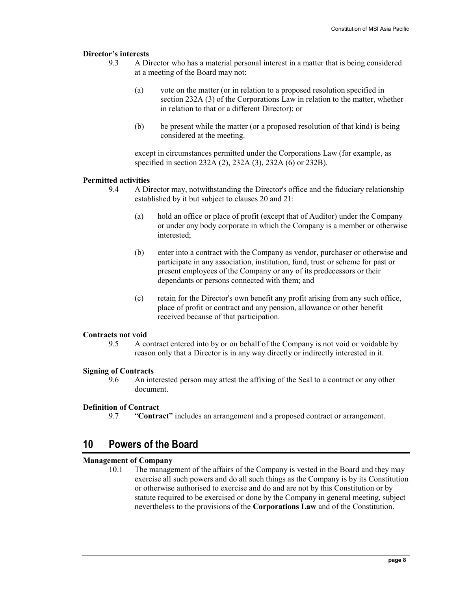### Director's interests

- 9.3 A Director who has a material personal interest in a matter that is being considered at a meeting of the Board may not:
	- (a) vote on the matter (or in relation to a proposed resolution specified in section 232A (3) of the Corporations Law in relation to the matter, whether in relation to that or a different Director); or
	- (b) be present while the matter (or a proposed resolution of that kind) is being considered at the meeting.

except in circumstances permitted under the Corporations Law (for example, as specified in section 232A (2), 232A (3), 232A (6) or 232B).

### Permitted activities

- 9.4 A Director may, notwithstanding the Director's office and the fiduciary relationship established by it but subject to clauses 20 and 21:
	- (a) hold an office or place of profit (except that of Auditor) under the Company or under any body corporate in which the Company is a member or otherwise interested;
	- (b) enter into a contract with the Company as vendor, purchaser or otherwise and participate in any association, institution, fund, trust or scheme for past or present employees of the Company or any of its predecessors or their dependants or persons connected with them; and
	- (c) retain for the Director's own benefit any profit arising from any such office, place of profit or contract and any pension, allowance or other benefit received because of that participation.

#### Contracts not void

9.5 A contract entered into by or on behalf of the Company is not void or voidable by reason only that a Director is in any way directly or indirectly interested in it.

### Signing of Contracts

9.6 An interested person may attest the affixing of the Seal to a contract or any other document.

#### Definition of Contract

9.7 "Contract" includes an arrangement and a proposed contract or arrangement.

## 10 Powers of the Board

### Management of Company

10.1 The management of the affairs of the Company is vested in the Board and they may exercise all such powers and do all such things as the Company is by its Constitution or otherwise authorised to exercise and do and are not by this Constitution or by statute required to be exercised or done by the Company in general meeting, subject nevertheless to the provisions of the Corporations Law and of the Constitution.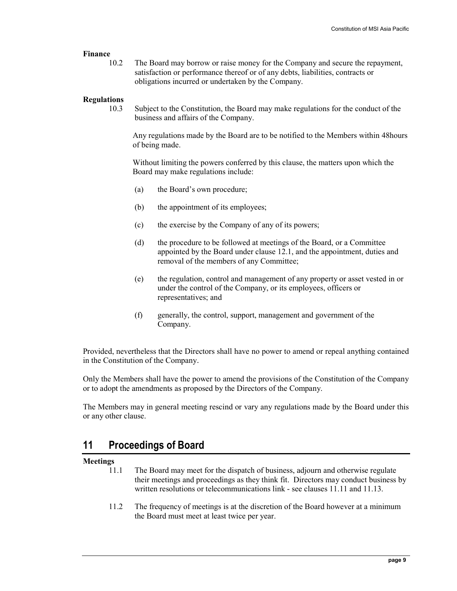### Finance

10.2 The Board may borrow or raise money for the Company and secure the repayment, satisfaction or performance thereof or of any debts, liabilities, contracts or obligations incurred or undertaken by the Company.

### Regulations

10.3 Subject to the Constitution, the Board may make regulations for the conduct of the business and affairs of the Company.

Any regulations made by the Board are to be notified to the Members within 48hours of being made.

Without limiting the powers conferred by this clause, the matters upon which the Board may make regulations include:

- (a) the Board's own procedure;
- (b) the appointment of its employees;
- (c) the exercise by the Company of any of its powers;
- (d) the procedure to be followed at meetings of the Board, or a Committee appointed by the Board under clause 12.1, and the appointment, duties and removal of the members of any Committee;
- (e) the regulation, control and management of any property or asset vested in or under the control of the Company, or its employees, officers or representatives; and
- (f) generally, the control, support, management and government of the Company.

Provided, nevertheless that the Directors shall have no power to amend or repeal anything contained in the Constitution of the Company.

Only the Members shall have the power to amend the provisions of the Constitution of the Company or to adopt the amendments as proposed by the Directors of the Company.

The Members may in general meeting rescind or vary any regulations made by the Board under this or any other clause.

## 11 Proceedings of Board

### Meetings

- 11.1 The Board may meet for the dispatch of business, adjourn and otherwise regulate their meetings and proceedings as they think fit. Directors may conduct business by written resolutions or telecommunications link - see clauses 11.11 and 11.13.
- 11.2 The frequency of meetings is at the discretion of the Board however at a minimum the Board must meet at least twice per year.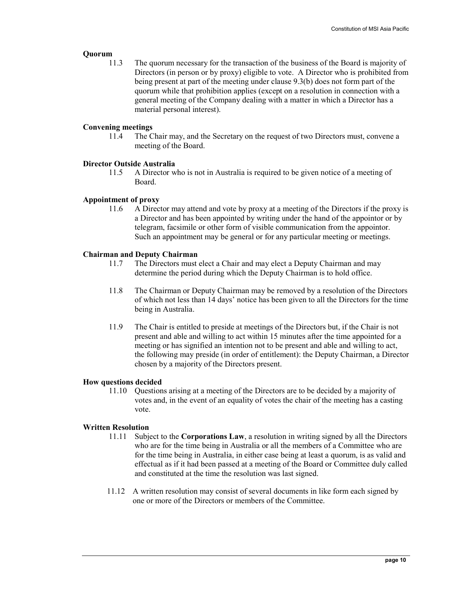### **Ouorum**

11.3 The quorum necessary for the transaction of the business of the Board is majority of Directors (in person or by proxy) eligible to vote. A Director who is prohibited from being present at part of the meeting under clause 9.3(b) does not form part of the quorum while that prohibition applies (except on a resolution in connection with a general meeting of the Company dealing with a matter in which a Director has a material personal interest).

### Convening meetings

11.4 The Chair may, and the Secretary on the request of two Directors must, convene a meeting of the Board.

### Director Outside Australia

11.5 A Director who is not in Australia is required to be given notice of a meeting of Board.

### Appointment of proxy

11.6 A Director may attend and vote by proxy at a meeting of the Directors if the proxy is a Director and has been appointed by writing under the hand of the appointor or by telegram, facsimile or other form of visible communication from the appointor. Such an appointment may be general or for any particular meeting or meetings.

### Chairman and Deputy Chairman

- 11.7 The Directors must elect a Chair and may elect a Deputy Chairman and may determine the period during which the Deputy Chairman is to hold office.
- 11.8 The Chairman or Deputy Chairman may be removed by a resolution of the Directors of which not less than 14 days' notice has been given to all the Directors for the time being in Australia.
- 11.9 The Chair is entitled to preside at meetings of the Directors but, if the Chair is not present and able and willing to act within 15 minutes after the time appointed for a meeting or has signified an intention not to be present and able and willing to act, the following may preside (in order of entitlement): the Deputy Chairman, a Director chosen by a majority of the Directors present.

### How questions decided

11.10 Questions arising at a meeting of the Directors are to be decided by a majority of votes and, in the event of an equality of votes the chair of the meeting has a casting vote.

### Written Resolution

- 11.11 Subject to the Corporations Law, a resolution in writing signed by all the Directors who are for the time being in Australia or all the members of a Committee who are for the time being in Australia, in either case being at least a quorum, is as valid and effectual as if it had been passed at a meeting of the Board or Committee duly called and constituted at the time the resolution was last signed.
- 11.12 A written resolution may consist of several documents in like form each signed by one or more of the Directors or members of the Committee.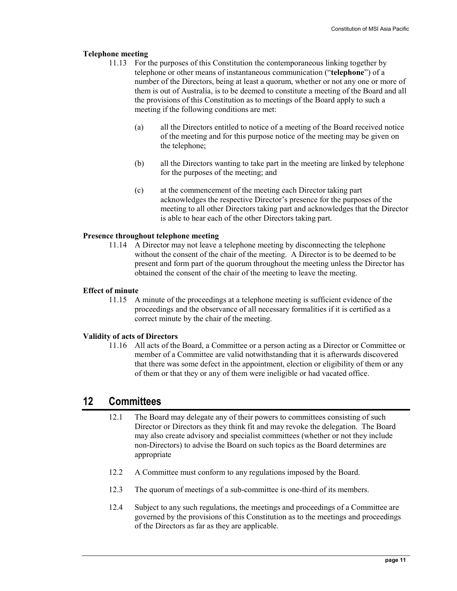#### Telephone meeting

- 11.13 For the purposes of this Constitution the contemporaneous linking together by telephone or other means of instantaneous communication ("telephone") of a number of the Directors, being at least a quorum, whether or not any one or more of them is out of Australia, is to be deemed to constitute a meeting of the Board and all the provisions of this Constitution as to meetings of the Board apply to such a meeting if the following conditions are met:
	- (a) all the Directors entitled to notice of a meeting of the Board received notice of the meeting and for this purpose notice of the meeting may be given on the telephone;
	- (b) all the Directors wanting to take part in the meeting are linked by telephone for the purposes of the meeting; and
	- (c) at the commencement of the meeting each Director taking part acknowledges the respective Director's presence for the purposes of the meeting to all other Directors taking part and acknowledges that the Director is able to hear each of the other Directors taking part.

### Presence throughout telephone meeting

11.14 A Director may not leave a telephone meeting by disconnecting the telephone without the consent of the chair of the meeting. A Director is to be deemed to be present and form part of the quorum throughout the meeting unless the Director has obtained the consent of the chair of the meeting to leave the meeting.

#### Effect of minute

11.15 A minute of the proceedings at a telephone meeting is sufficient evidence of the proceedings and the observance of all necessary formalities if it is certified as a correct minute by the chair of the meeting.

### Validity of acts of Directors

11.16 All acts of the Board, a Committee or a person acting as a Director or Committee or member of a Committee are valid notwithstanding that it is afterwards discovered that there was some defect in the appointment, election or eligibility of them or any of them or that they or any of them were ineligible or had vacated office.

### 12 Committees

- 12.1 The Board may delegate any of their powers to committees consisting of such Director or Directors as they think fit and may revoke the delegation. The Board may also create advisory and specialist committees (whether or not they include non-Directors) to advise the Board on such topics as the Board determines are appropriate
- 12.2 A Committee must conform to any regulations imposed by the Board.
- 12.3 The quorum of meetings of a sub-committee is one-third of its members.
- 12.4 Subject to any such regulations, the meetings and proceedings of a Committee are governed by the provisions of this Constitution as to the meetings and proceedings of the Directors as far as they are applicable.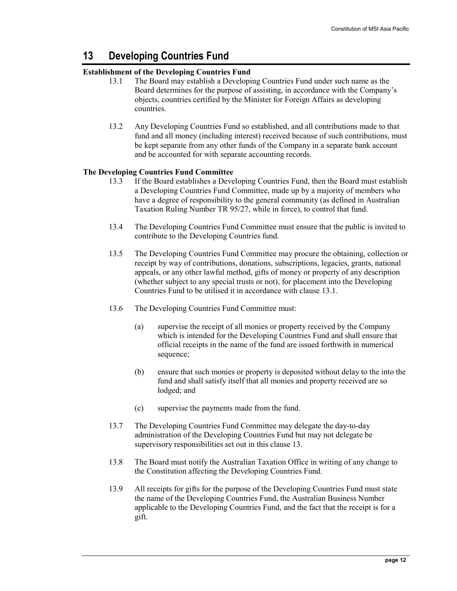## 13 Developing Countries Fund

### Establishment of the Developing Countries Fund

- 13.1 The Board may establish a Developing Countries Fund under such name as the Board determines for the purpose of assisting, in accordance with the Company's objects, countries certified by the Minister for Foreign Affairs as developing countries.
- 13.2 Any Developing Countries Fund so established, and all contributions made to that fund and all money (including interest) received because of such contributions, must be kept separate from any other funds of the Company in a separate bank account and be accounted for with separate accounting records.

### The Developing Countries Fund Committee

- 13.3 If the Board establishes a Developing Countries Fund, then the Board must establish a Developing Countries Fund Committee, made up by a majority of members who have a degree of responsibility to the general community (as defined in Australian Taxation Ruling Number TR 95/27, while in force), to control that fund.
- 13.4 The Developing Countries Fund Committee must ensure that the public is invited to contribute to the Developing Countries fund.
- 13.5 The Developing Countries Fund Committee may procure the obtaining, collection or receipt by way of contributions, donations, subscriptions, legacies, grants, national appeals, or any other lawful method, gifts of money or property of any description (whether subject to any special trusts or not), for placement into the Developing Countries Fund to be utilised it in accordance with clause 13.1.
- 13.6 The Developing Countries Fund Committee must:
	- (a) supervise the receipt of all monies or property received by the Company which is intended for the Developing Countries Fund and shall ensure that official receipts in the name of the fund are issued forthwith in numerical sequence;
	- (b) ensure that such monies or property is deposited without delay to the into the fund and shall satisfy itself that all monies and property received are so lodged; and
	- (c) supervise the payments made from the fund.
- 13.7 The Developing Countries Fund Committee may delegate the day-to-day administration of the Developing Countries Fund but may not delegate be supervisory responsibilities set out in this clause 13.
- 13.8 The Board must notify the Australian Taxation Office in writing of any change to the Constitution affecting the Developing Countries Fund.
- 13.9 All receipts for gifts for the purpose of the Developing Countries Fund must state the name of the Developing Countries Fund, the Australian Business Number applicable to the Developing Countries Fund, and the fact that the receipt is for a gift.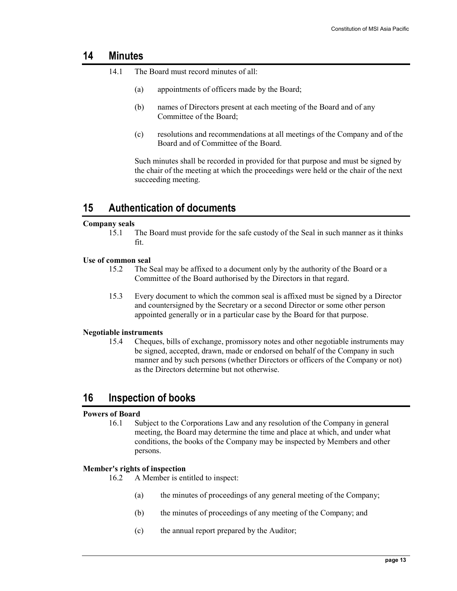## 14 Minutes

- 14.1 The Board must record minutes of all:
	- (a) appointments of officers made by the Board;
	- (b) names of Directors present at each meeting of the Board and of any Committee of the Board;
	- (c) resolutions and recommendations at all meetings of the Company and of the Board and of Committee of the Board.

Such minutes shall be recorded in provided for that purpose and must be signed by the chair of the meeting at which the proceedings were held or the chair of the next succeeding meeting.

## 15 Authentication of documents

#### Company seals

15.1 The Board must provide for the safe custody of the Seal in such manner as it thinks fit.

### Use of common seal

- 15.2 The Seal may be affixed to a document only by the authority of the Board or a Committee of the Board authorised by the Directors in that regard.
- 15.3 Every document to which the common seal is affixed must be signed by a Director and countersigned by the Secretary or a second Director or some other person appointed generally or in a particular case by the Board for that purpose.

### Negotiable instruments

15.4 Cheques, bills of exchange, promissory notes and other negotiable instruments may be signed, accepted, drawn, made or endorsed on behalf of the Company in such manner and by such persons (whether Directors or officers of the Company or not) as the Directors determine but not otherwise.

## 16 Inspection of books

### Powers of Board

16.1 Subject to the Corporations Law and any resolution of the Company in general meeting, the Board may determine the time and place at which, and under what conditions, the books of the Company may be inspected by Members and other persons.

### Member's rights of inspection

16.2 A Member is entitled to inspect:

- (a) the minutes of proceedings of any general meeting of the Company;
- (b) the minutes of proceedings of any meeting of the Company; and
- (c) the annual report prepared by the Auditor;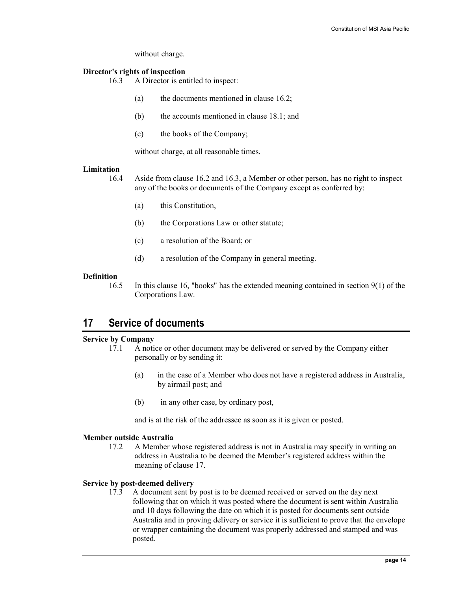without charge.

### Director's rights of inspection

- 16.3 A Director is entitled to inspect:
	- (a) the documents mentioned in clause 16.2;
	- (b) the accounts mentioned in clause 18.1; and
	- (c) the books of the Company;

without charge, at all reasonable times.

#### Limitation

16.4 Aside from clause 16.2 and 16.3, a Member or other person, has no right to inspect any of the books or documents of the Company except as conferred by:

- (a) this Constitution,
- (b) the Corporations Law or other statute;
- (c) a resolution of the Board; or
- (d) a resolution of the Company in general meeting.

### **Definition**

16.5 In this clause 16, "books" has the extended meaning contained in section 9(1) of the Corporations Law.

## 17 Service of documents

### Service by Company

- 17.1 A notice or other document may be delivered or served by the Company either personally or by sending it:
	- (a) in the case of a Member who does not have a registered address in Australia, by airmail post; and
	- (b) in any other case, by ordinary post,

and is at the risk of the addressee as soon as it is given or posted.

#### Member outside Australia

17.2 A Member whose registered address is not in Australia may specify in writing an address in Australia to be deemed the Member's registered address within the meaning of clause 17.

### Service by post-deemed delivery

17.3 A document sent by post is to be deemed received or served on the day next following that on which it was posted where the document is sent within Australia and 10 days following the date on which it is posted for documents sent outside Australia and in proving delivery or service it is sufficient to prove that the envelope or wrapper containing the document was properly addressed and stamped and was posted.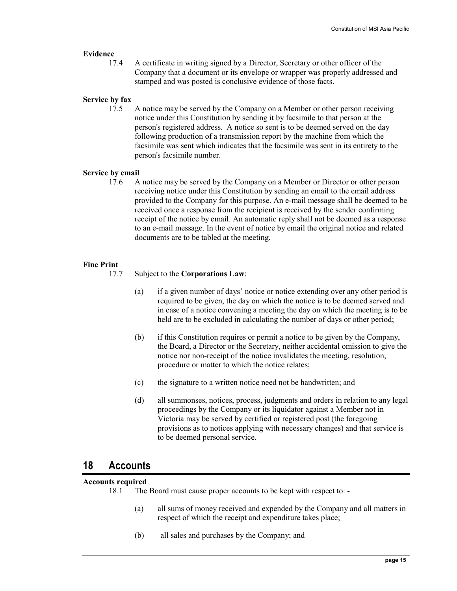### Evidence

17.4 A certificate in writing signed by a Director, Secretary or other officer of the Company that a document or its envelope or wrapper was properly addressed and stamped and was posted is conclusive evidence of those facts.

### Service by fax

17.5 A notice may be served by the Company on a Member or other person receiving notice under this Constitution by sending it by facsimile to that person at the person's registered address. A notice so sent is to be deemed served on the day following production of a transmission report by the machine from which the facsimile was sent which indicates that the facsimile was sent in its entirety to the person's facsimile number.

### Service by email

17.6 A notice may be served by the Company on a Member or Director or other person receiving notice under this Constitution by sending an email to the email address provided to the Company for this purpose. An e-mail message shall be deemed to be received once a response from the recipient is received by the sender confirming receipt of the notice by email. An automatic reply shall not be deemed as a response to an e-mail message. In the event of notice by email the original notice and related documents are to be tabled at the meeting.

### Fine Print

- 17.7 Subject to the Corporations Law:
	- (a) if a given number of days' notice or notice extending over any other period is required to be given, the day on which the notice is to be deemed served and in case of a notice convening a meeting the day on which the meeting is to be held are to be excluded in calculating the number of days or other period;
	- (b) if this Constitution requires or permit a notice to be given by the Company, the Board, a Director or the Secretary, neither accidental omission to give the notice nor non-receipt of the notice invalidates the meeting, resolution, procedure or matter to which the notice relates;
	- (c) the signature to a written notice need not be handwritten; and
	- (d) all summonses, notices, process, judgments and orders in relation to any legal proceedings by the Company or its liquidator against a Member not in Victoria may be served by certified or registered post (the foregoing provisions as to notices applying with necessary changes) and that service is to be deemed personal service.

### 18 Accounts

#### Accounts required

- 18.1 The Board must cause proper accounts to be kept with respect to:
	- (a) all sums of money received and expended by the Company and all matters in respect of which the receipt and expenditure takes place;
	- (b) all sales and purchases by the Company; and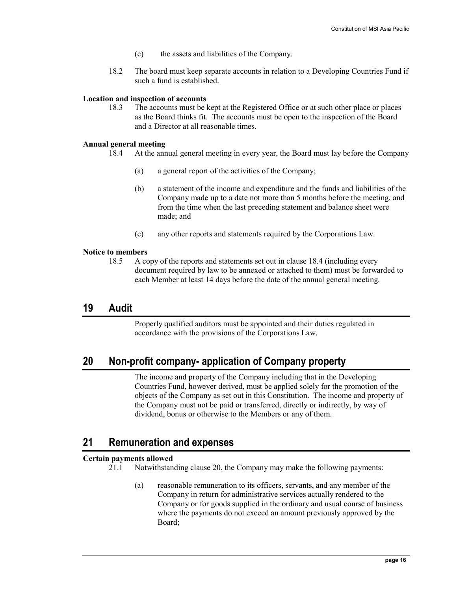- (c) the assets and liabilities of the Company.
- 18.2 The board must keep separate accounts in relation to a Developing Countries Fund if such a fund is established.

#### Location and inspection of accounts

18.3 The accounts must be kept at the Registered Office or at such other place or places as the Board thinks fit. The accounts must be open to the inspection of the Board and a Director at all reasonable times.

#### Annual general meeting

- 18.4 At the annual general meeting in every year, the Board must lay before the Company
	- (a) a general report of the activities of the Company;
	- (b) a statement of the income and expenditure and the funds and liabilities of the Company made up to a date not more than 5 months before the meeting, and from the time when the last preceding statement and balance sheet were made; and
	- (c) any other reports and statements required by the Corporations Law.

#### Notice to members

18.5 A copy of the reports and statements set out in clause 18.4 (including every document required by law to be annexed or attached to them) must be forwarded to each Member at least 14 days before the date of the annual general meeting.

### 19 Audit

Properly qualified auditors must be appointed and their duties regulated in accordance with the provisions of the Corporations Law.

## 20 Non-profit company- application of Company property

The income and property of the Company including that in the Developing Countries Fund, however derived, must be applied solely for the promotion of the objects of the Company as set out in this Constitution. The income and property of the Company must not be paid or transferred, directly or indirectly, by way of dividend, bonus or otherwise to the Members or any of them.

## 21 Remuneration and expenses

#### Certain payments allowed

- 21.1 Notwithstanding clause 20, the Company may make the following payments:
	- (a) reasonable remuneration to its officers, servants, and any member of the Company in return for administrative services actually rendered to the Company or for goods supplied in the ordinary and usual course of business where the payments do not exceed an amount previously approved by the Board;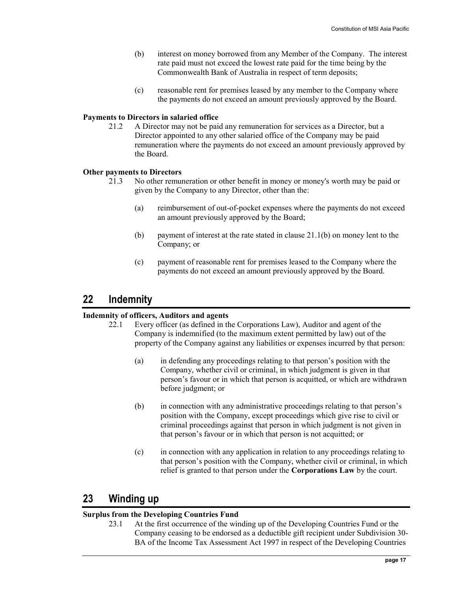- (b) interest on money borrowed from any Member of the Company. The interest rate paid must not exceed the lowest rate paid for the time being by the Commonwealth Bank of Australia in respect of term deposits;
- (c) reasonable rent for premises leased by any member to the Company where the payments do not exceed an amount previously approved by the Board.

#### Payments to Directors in salaried office

21.2 A Director may not be paid any remuneration for services as a Director, but a Director appointed to any other salaried office of the Company may be paid remuneration where the payments do not exceed an amount previously approved by the Board.

### Other payments to Directors

- 21.3 No other remuneration or other benefit in money or money's worth may be paid or given by the Company to any Director, other than the:
	- (a) reimbursement of out-of-pocket expenses where the payments do not exceed an amount previously approved by the Board;
	- (b) payment of interest at the rate stated in clause 21.1(b) on money lent to the Company; or
	- (c) payment of reasonable rent for premises leased to the Company where the payments do not exceed an amount previously approved by the Board.

## 22 Indemnity

#### Indemnity of officers, Auditors and agents

- 22.1 Every officer (as defined in the Corporations Law), Auditor and agent of the Company is indemnified (to the maximum extent permitted by law) out of the property of the Company against any liabilities or expenses incurred by that person:
	- (a) in defending any proceedings relating to that person's position with the Company, whether civil or criminal, in which judgment is given in that person's favour or in which that person is acquitted, or which are withdrawn before judgment; or
	- (b) in connection with any administrative proceedings relating to that person's position with the Company, except proceedings which give rise to civil or criminal proceedings against that person in which judgment is not given in that person's favour or in which that person is not acquitted; or
	- (c) in connection with any application in relation to any proceedings relating to that person's position with the Company, whether civil or criminal, in which relief is granted to that person under the Corporations Law by the court.

## 23 Winding up

### Surplus from the Developing Countries Fund

23.1 At the first occurrence of the winding up of the Developing Countries Fund or the Company ceasing to be endorsed as a deductible gift recipient under Subdivision 30- BA of the Income Tax Assessment Act 1997 in respect of the Developing Countries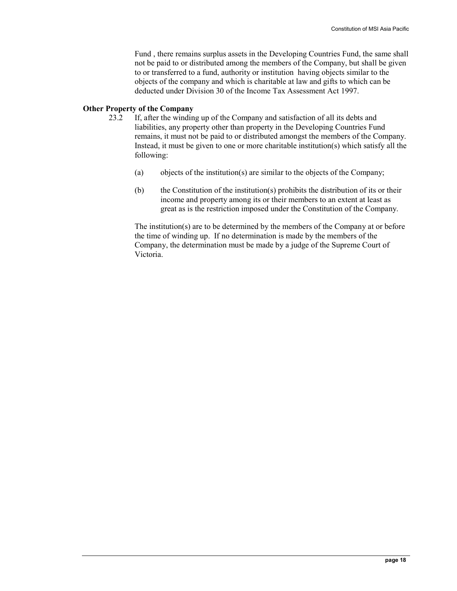Fund , there remains surplus assets in the Developing Countries Fund, the same shall not be paid to or distributed among the members of the Company, but shall be given to or transferred to a fund, authority or institution having objects similar to the objects of the company and which is charitable at law and gifts to which can be deducted under Division 30 of the Income Tax Assessment Act 1997.

### Other Property of the Company

- 23.2 If, after the winding up of the Company and satisfaction of all its debts and liabilities, any property other than property in the Developing Countries Fund remains, it must not be paid to or distributed amongst the members of the Company. Instead, it must be given to one or more charitable institution(s) which satisfy all the following:
	- (a) objects of the institution(s) are similar to the objects of the Company;
	- (b) the Constitution of the institution(s) prohibits the distribution of its or their income and property among its or their members to an extent at least as great as is the restriction imposed under the Constitution of the Company.

The institution(s) are to be determined by the members of the Company at or before the time of winding up. If no determination is made by the members of the Company, the determination must be made by a judge of the Supreme Court of Victoria.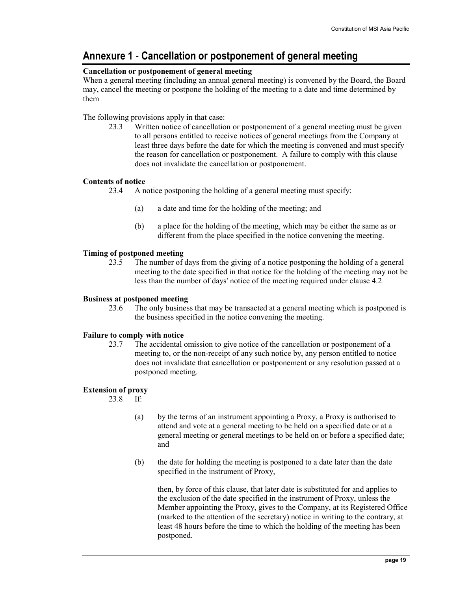## Annexure 1 - Cancellation or postponement of general meeting

### Cancellation or postponement of general meeting

When a general meeting (including an annual general meeting) is convened by the Board, the Board may, cancel the meeting or postpone the holding of the meeting to a date and time determined by them

The following provisions apply in that case:

23.3 Written notice of cancellation or postponement of a general meeting must be given to all persons entitled to receive notices of general meetings from the Company at least three days before the date for which the meeting is convened and must specify the reason for cancellation or postponement. A failure to comply with this clause does not invalidate the cancellation or postponement.

### Contents of notice

- 23.4 A notice postponing the holding of a general meeting must specify:
	- (a) a date and time for the holding of the meeting; and
	- (b) a place for the holding of the meeting, which may be either the same as or different from the place specified in the notice convening the meeting.

### Timing of postponed meeting

23.5 The number of days from the giving of a notice postponing the holding of a general meeting to the date specified in that notice for the holding of the meeting may not be less than the number of days' notice of the meeting required under clause 4.2

### Business at postponed meeting

23.6 The only business that may be transacted at a general meeting which is postponed is the business specified in the notice convening the meeting.

### Failure to comply with notice

23.7 The accidental omission to give notice of the cancellation or postponement of a meeting to, or the non-receipt of any such notice by, any person entitled to notice does not invalidate that cancellation or postponement or any resolution passed at a postponed meeting.

### Extension of proxy

23.8 If:

- (a) by the terms of an instrument appointing a Proxy, a Proxy is authorised to attend and vote at a general meeting to be held on a specified date or at a general meeting or general meetings to be held on or before a specified date; and
- (b) the date for holding the meeting is postponed to a date later than the date specified in the instrument of Proxy,

then, by force of this clause, that later date is substituted for and applies to the exclusion of the date specified in the instrument of Proxy, unless the Member appointing the Proxy, gives to the Company, at its Registered Office (marked to the attention of the secretary) notice in writing to the contrary, at least 48 hours before the time to which the holding of the meeting has been postponed.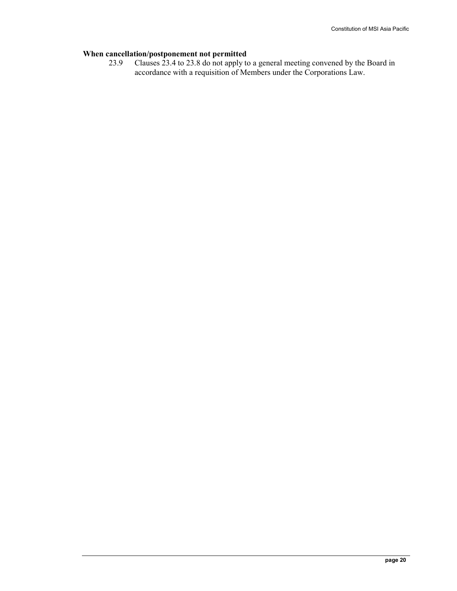# When cancellation/postponement not permitted<br>23.9 Clauses 23.4 to 23.8 do not apply to

23.9 Clauses 23.4 to 23.8 do not apply to a general meeting convened by the Board in accordance with a requisition of Members under the Corporations Law.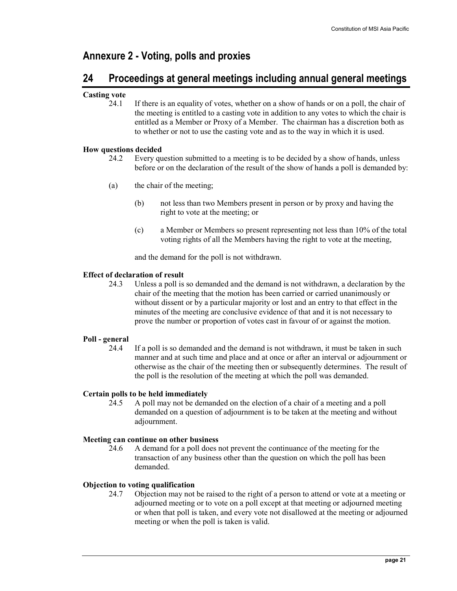## Annexure 2 - Voting, polls and proxies

## 24 Proceedings at general meetings including annual general meetings

### Casting vote

24.1 If there is an equality of votes, whether on a show of hands or on a poll, the chair of the meeting is entitled to a casting vote in addition to any votes to which the chair is entitled as a Member or Proxy of a Member. The chairman has a discretion both as to whether or not to use the casting vote and as to the way in which it is used.

### How questions decided

- 24.2 Every question submitted to a meeting is to be decided by a show of hands, unless before or on the declaration of the result of the show of hands a poll is demanded by:
- (a) the chair of the meeting;
	- (b) not less than two Members present in person or by proxy and having the right to vote at the meeting; or
	- (c) a Member or Members so present representing not less than 10% of the total voting rights of all the Members having the right to vote at the meeting,

and the demand for the poll is not withdrawn.

### Effect of declaration of result

24.3 Unless a poll is so demanded and the demand is not withdrawn, a declaration by the chair of the meeting that the motion has been carried or carried unanimously or without dissent or by a particular majority or lost and an entry to that effect in the minutes of the meeting are conclusive evidence of that and it is not necessary to prove the number or proportion of votes cast in favour of or against the motion.

### Poll - general

24.4 If a poll is so demanded and the demand is not withdrawn, it must be taken in such manner and at such time and place and at once or after an interval or adjournment or otherwise as the chair of the meeting then or subsequently determines. The result of the poll is the resolution of the meeting at which the poll was demanded.

### Certain polls to be held immediately

24.5 A poll may not be demanded on the election of a chair of a meeting and a poll demanded on a question of adjournment is to be taken at the meeting and without adjournment.

### Meeting can continue on other business

24.6 A demand for a poll does not prevent the continuance of the meeting for the transaction of any business other than the question on which the poll has been demanded.

### Objection to voting qualification

24.7 Objection may not be raised to the right of a person to attend or vote at a meeting or adjourned meeting or to vote on a poll except at that meeting or adjourned meeting or when that poll is taken, and every vote not disallowed at the meeting or adjourned meeting or when the poll is taken is valid.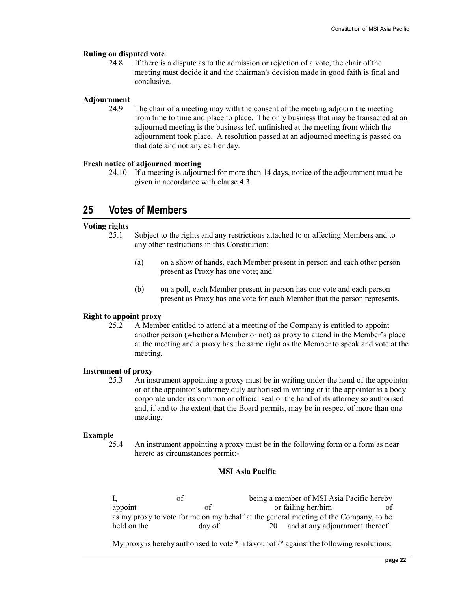#### Ruling on disputed vote

24.8 If there is a dispute as to the admission or rejection of a vote, the chair of the meeting must decide it and the chairman's decision made in good faith is final and conclusive.

#### Adjournment

24.9 The chair of a meeting may with the consent of the meeting adjourn the meeting from time to time and place to place. The only business that may be transacted at an adjourned meeting is the business left unfinished at the meeting from which the adjournment took place. A resolution passed at an adjourned meeting is passed on that date and not any earlier day.

#### Fresh notice of adjourned meeting

24.10 If a meeting is adjourned for more than 14 days, notice of the adjournment must be given in accordance with clause 4.3.

## 25 Votes of Members

### Voting rights

- 25.1 Subject to the rights and any restrictions attached to or affecting Members and to any other restrictions in this Constitution:
	- (a) on a show of hands, each Member present in person and each other person present as Proxy has one vote; and
	- (b) on a poll, each Member present in person has one vote and each person present as Proxy has one vote for each Member that the person represents.

#### Right to appoint proxy

25.2 A Member entitled to attend at a meeting of the Company is entitled to appoint another person (whether a Member or not) as proxy to attend in the Member's place at the meeting and a proxy has the same right as the Member to speak and vote at the meeting.

#### Instrument of proxy

25.3 An instrument appointing a proxy must be in writing under the hand of the appointor or of the appointor's attorney duly authorised in writing or if the appointor is a body corporate under its common or official seal or the hand of its attorney so authorised and, if and to the extent that the Board permits, may be in respect of more than one meeting.

#### Example

25.4 An instrument appointing a proxy must be in the following form or a form as near hereto as circumstances permit:-

### MSI Asia Pacific

I, of being a member of MSI Asia Pacific hereby appoint of or failing her/him of or failing her/him of as my proxy to vote for me on my behalf at the general meeting of the Company, to be held on the day of 20 and at any adjournment thereof.

My proxy is hereby authorised to vote  $\ast$  in favour of  $\ast$  against the following resolutions: